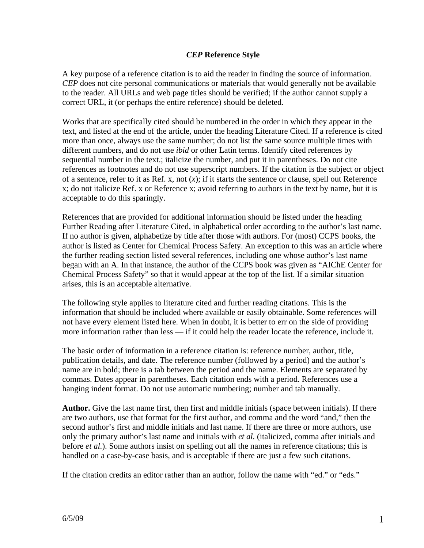## *CEP* **Reference Style**

A key purpose of a reference citation is to aid the reader in finding the source of information. *CEP* does not cite personal communications or materials that would generally not be available to the reader. All URLs and web page titles should be verified; if the author cannot supply a correct URL, it (or perhaps the entire reference) should be deleted.

Works that are specifically cited should be numbered in the order in which they appear in the text, and listed at the end of the article, under the heading Literature Cited. If a reference is cited more than once, always use the same number; do not list the same source multiple times with different numbers, and do not use *ibid* or other Latin terms. Identify cited references by sequential number in the text.; italicize the number, and put it in parentheses. Do not cite references as footnotes and do not use superscript numbers. If the citation is the subject or object of a sentence, refer to it as Ref. x, not (*x*); if it starts the sentence or clause, spell out Reference x; do not italicize Ref. x or Reference x; avoid referring to authors in the text by name, but it is acceptable to do this sparingly.

References that are provided for additional information should be listed under the heading Further Reading after Literature Cited, in alphabetical order according to the author's last name. If no author is given, alphabetize by title after those with authors. For (most) CCPS books, the author is listed as Center for Chemical Process Safety. An exception to this was an article where the further reading section listed several references, including one whose author's last name began with an A. In that instance, the author of the CCPS book was given as "AIChE Center for Chemical Process Safety" so that it would appear at the top of the list. If a similar situation arises, this is an acceptable alternative.

The following style applies to literature cited and further reading citations. This is the information that should be included where available or easily obtainable. Some references will not have every element listed here. When in doubt, it is better to err on the side of providing more information rather than less — if it could help the reader locate the reference, include it.

The basic order of information in a reference citation is: reference number, author, title, publication details, and date. The reference number (followed by a period) and the author's name are in bold; there is a tab between the period and the name. Elements are separated by commas. Dates appear in parentheses. Each citation ends with a period. References use a hanging indent format. Do not use automatic numbering; number and tab manually.

**Author.** Give the last name first, then first and middle initials (space between initials). If there are two authors, use that format for the first author, and comma and the word "and," then the second author's first and middle initials and last name. If there are three or more authors, use only the primary author's last name and initials with *et al.* (italicized, comma after initials and before *et al.*). Some authors insist on spelling out all the names in reference citations; this is handled on a case-by-case basis, and is acceptable if there are just a few such citations.

If the citation credits an editor rather than an author, follow the name with "ed." or "eds."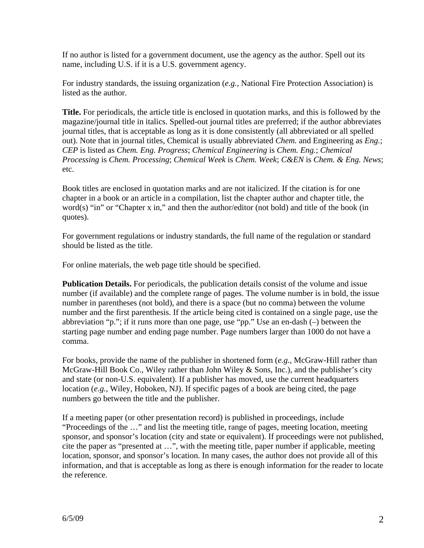If no author is listed for a government document, use the agency as the author. Spell out its name, including U.S. if it is a U.S. government agency.

For industry standards, the issuing organization (*e.g.,* National Fire Protection Association) is listed as the author.

**Title.** For periodicals, the article title is enclosed in quotation marks, and this is followed by the magazine/journal title in italics. Spelled-out journal titles are preferred; if the author abbreviates journal titles, that is acceptable as long as it is done consistently (all abbreviated or all spelled out). Note that in journal titles, Chemical is usually abbreviated *Chem.* and Engineering as *Eng.*; *CEP* is listed as *Chem. Eng. Progress*; *Chemical Engineering* is *Chem. Eng.*; *Chemical Processing* is *Chem. Processing*; *Chemical Week* is *Chem. Week*; *C&EN* is *Chem. & Eng. News*; etc.

Book titles are enclosed in quotation marks and are not italicized. If the citation is for one chapter in a book or an article in a compilation, list the chapter author and chapter title, the word(s) "in" or "Chapter x in," and then the author/editor (not bold) and title of the book (in quotes).

For government regulations or industry standards, the full name of the regulation or standard should be listed as the title.

For online materials, the web page title should be specified.

**Publication Details.** For periodicals, the publication details consist of the volume and issue number (if available) and the complete range of pages. The volume number is in bold, the issue number in parentheses (not bold), and there is a space (but no comma) between the volume number and the first parenthesis. If the article being cited is contained on a single page, use the abbreviation "p."; if it runs more than one page, use "pp." Use an en-dash (–) between the starting page number and ending page number. Page numbers larger than 1000 do not have a comma.

For books, provide the name of the publisher in shortened form (*e.g.,* McGraw-Hill rather than McGraw-Hill Book Co., Wiley rather than John Wiley & Sons, Inc.), and the publisher's city and state (or non-U.S. equivalent). If a publisher has moved, use the current headquarters location (*e.g.,* Wiley, Hoboken, NJ). If specific pages of a book are being cited, the page numbers go between the title and the publisher.

If a meeting paper (or other presentation record) is published in proceedings, include "Proceedings of the …" and list the meeting title, range of pages, meeting location, meeting sponsor, and sponsor's location (city and state or equivalent). If proceedings were not published, cite the paper as "presented at …", with the meeting title, paper number if applicable, meeting location, sponsor, and sponsor's location. In many cases, the author does not provide all of this information, and that is acceptable as long as there is enough information for the reader to locate the reference.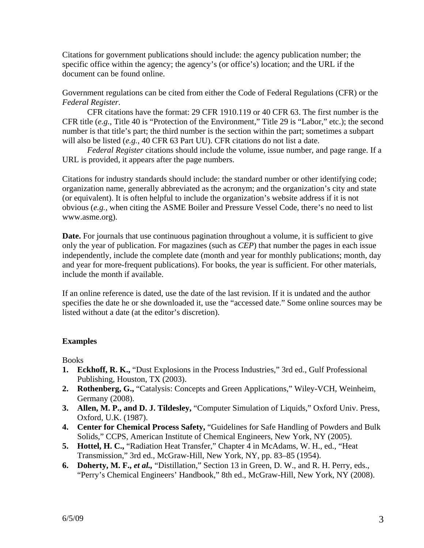Citations for government publications should include: the agency publication number; the specific office within the agency; the agency's (or office's) location; and the URL if the document can be found online.

Government regulations can be cited from either the Code of Federal Regulations (CFR) or the *Federal Register*.

 CFR citations have the format: 29 CFR 1910.119 or 40 CFR 63. The first number is the CFR title (*e.g.,* Title 40 is "Protection of the Environment," Title 29 is "Labor," etc.); the second number is that title's part; the third number is the section within the part; sometimes a subpart will also be listed (*e.g.,* 40 CFR 63 Part UU). CFR citations do not list a date.

*Federal Register* citations should include the volume, issue number, and page range. If a URL is provided, it appears after the page numbers.

Citations for industry standards should include: the standard number or other identifying code; organization name, generally abbreviated as the acronym; and the organization's city and state (or equivalent). It is often helpful to include the organization's website address if it is not obvious (*e.g.,* when citing the ASME Boiler and Pressure Vessel Code, there's no need to list www.asme.org).

**Date.** For journals that use continuous pagination throughout a volume, it is sufficient to give only the year of publication. For magazines (such as *CEP*) that number the pages in each issue independently, include the complete date (month and year for monthly publications; month, day and year for more-frequent publications). For books, the year is sufficient. For other materials, include the month if available.

If an online reference is dated, use the date of the last revision. If it is undated and the author specifies the date he or she downloaded it, use the "accessed date." Some online sources may be listed without a date (at the editor's discretion).

## **Examples**

**Books** 

- **1. Eckhoff, R. K.,** "Dust Explosions in the Process Industries," 3rd ed., Gulf Professional Publishing, Houston, TX (2003).
- **2. Rothenberg, G.,** "Catalysis: Concepts and Green Applications," Wiley-VCH, Weinheim, Germany (2008).
- **3. Allen, M. P., and D. J. Tildesley,** "Computer Simulation of Liquids," Oxford Univ. Press, Oxford, U.K. (1987).
- **4. Center for Chemical Process Safety,** "Guidelines for Safe Handling of Powders and Bulk Solids," CCPS, American Institute of Chemical Engineers, New York, NY (2005).
- **5. Hottel, H. C.,** "Radiation Heat Transfer," Chapter 4 in McAdams, W. H., ed., "Heat Transmission," 3rd ed., McGraw-Hill, New York, NY, pp. 83–85 (1954).
- **6. Doherty, M. F.,** *et al.,* "Distillation," Section 13 in Green, D. W., and R. H. Perry, eds., "Perry's Chemical Engineers' Handbook," 8th ed., McGraw-Hill, New York, NY (2008).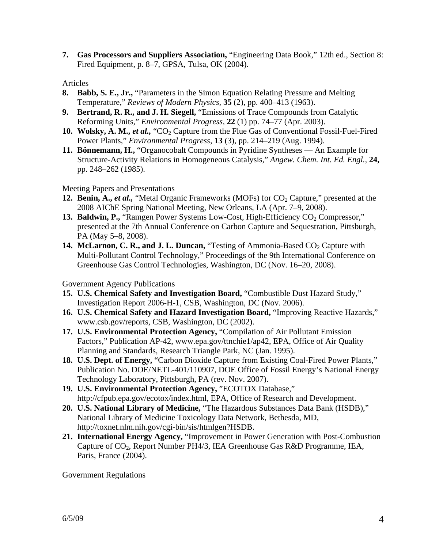**7. Gas Processors and Suppliers Association,** "Engineering Data Book," 12th ed., Section 8: Fired Equipment, p. 8–7, GPSA, Tulsa, OK (2004).

Articles

- **8. Babb, S. E., Jr.,** "Parameters in the Simon Equation Relating Pressure and Melting Temperature," *Reviews of Modern Physics,* **35** (2), pp. 400–413 (1963).
- **9. Bertrand, R. R., and J. H. Siegell,** "Emissions of Trace Compounds from Catalytic Reforming Units," *Environmental Progress,* **22** (1) pp. 74–77 (Apr. 2003).
- **10. Wolsky, A. M.,** *et al.***,** "CO<sub>2</sub> Capture from the Flue Gas of Conventional Fossil-Fuel-Fired Power Plants," *Environmental Progress,* **13** (3), pp. 214–219 (Aug. 1994).
- **11. Bönnemann, H.,** "Organocobalt Compounds in Pyridine Syntheses An Example for Structure-Activity Relations in Homogeneous Catalysis," *Angew. Chem. Int. Ed. Engl.,* **24,** pp. 248–262 (1985).

Meeting Papers and Presentations

- **12. Benin, A.,** *et al.***,** "Metal Organic Frameworks (MOFs) for CO<sub>2</sub> Capture," presented at the 2008 AIChE Spring National Meeting, New Orleans, LA (Apr. 7–9, 2008).
- **13. Baldwin, P.,** "Ramgen Power Systems Low-Cost, High-Efficiency CO<sub>2</sub> Compressor," presented at the 7th Annual Conference on Carbon Capture and Sequestration, Pittsburgh, PA (May 5–8, 2008).
- **14. McLarnon, C. R., and J. L. Duncan,** "Testing of Ammonia-Based CO<sub>2</sub> Capture with Multi-Pollutant Control Technology," Proceedings of the 9th International Conference on Greenhouse Gas Control Technologies, Washington, DC (Nov. 16–20, 2008).

Government Agency Publications

- **15. U.S. Chemical Safety and Investigation Board,** "Combustible Dust Hazard Study," Investigation Report 2006-H-1, CSB, Washington, DC (Nov. 2006).
- **16. U.S. Chemical Safety and Hazard Investigation Board,** "Improving Reactive Hazards," www.csb.gov/reports, CSB, Washington, DC (2002).
- **17. U.S. Environmental Protection Agency,** "Compilation of Air Pollutant Emission Factors," Publication AP-42, www.epa.gov/ttnchie1/ap42, EPA, Office of Air Quality Planning and Standards, Research Triangle Park, NC (Jan. 1995).
- **18. U.S. Dept. of Energy,** "Carbon Dioxide Capture from Existing Coal-Fired Power Plants," Publication No. DOE/NETL-401/110907, DOE Office of Fossil Energy's National Energy Technology Laboratory, Pittsburgh, PA (rev. Nov. 2007).
- **19. U.S. Environmental Protection Agency,** "ECOTOX Database," http://cfpub.epa.gov/ecotox/index.html, EPA, Office of Research and Development.
- **20. U.S. National Library of Medicine,** "The Hazardous Substances Data Bank (HSDB)," National Library of Medicine Toxicology Data Network, Bethesda, MD, http://toxnet.nlm.nih.gov/cgi-bin/sis/htmlgen?HSDB.
- **21. International Energy Agency,** "Improvement in Power Generation with Post-Combustion Capture of CO<sub>2</sub>, Report Number PH4/3, IEA Greenhouse Gas R&D Programme, IEA, Paris, France (2004).

Government Regulations